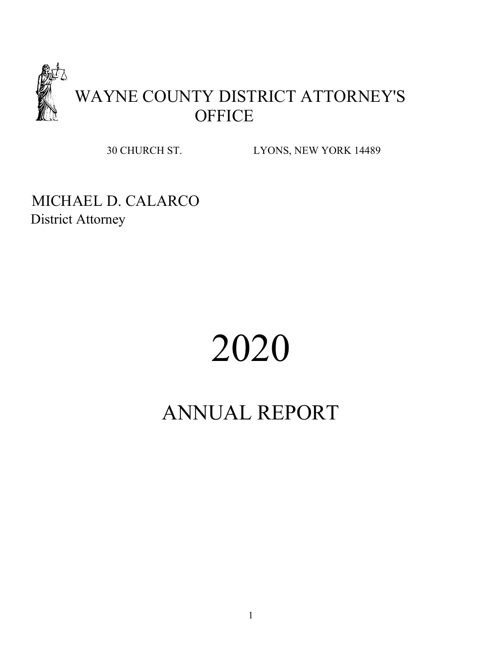

30 CHURCH ST. LYONS, NEW YORK 14489

MICHAEL D. CALARCO District Attorney

# 2020

# ANNUAL REPORT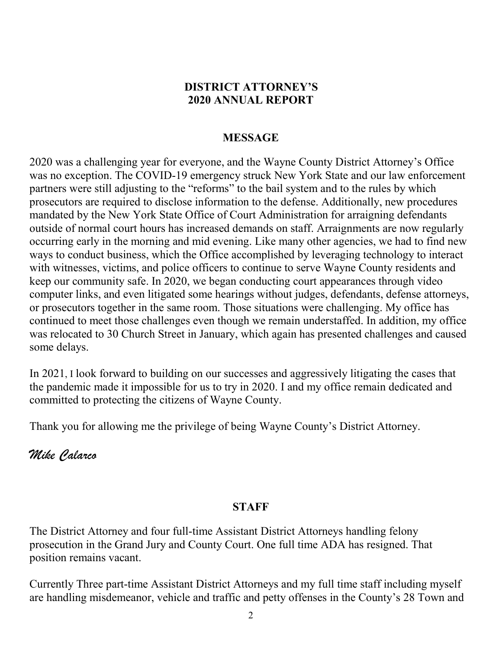# **DISTRICT ATTORNEY'S 2020 ANNUAL REPORT**

# **MESSAGE**

2020 was a challenging year for everyone, and the Wayne County District Attorney's Office was no exception. The COVID-19 emergency struck New York State and our law enforcement partners were still adjusting to the "reforms" to the bail system and to the rules by which prosecutors are required to disclose information to the defense. Additionally, new procedures mandated by the New York State Office of Court Administration for arraigning defendants outside of normal court hours has increased demands on staff. Arraignments are now regularly occurring early in the morning and mid evening. Like many other agencies, we had to find new ways to conduct business, which the Office accomplished by leveraging technology to interact with witnesses, victims, and police officers to continue to serve Wayne County residents and keep our community safe. In 2020, we began conducting court appearances through video computer links, and even litigated some hearings without judges, defendants, defense attorneys, or prosecutors together in the same room. Those situations were challenging. My office has continued to meet those challenges even though we remain understaffed. In addition, my office was relocated to 30 Church Street in January, which again has presented challenges and caused some delays.

In 2021, I look forward to building on our successes and aggressively litigating the cases that the pandemic made it impossible for us to try in 2020. I and my office remain dedicated and committed to protecting the citizens of Wayne County.

Thank you for allowing me the privilege of being Wayne County's District Attorney.

*Mike Calarco*

# **STAFF**

The District Attorney and four full-time Assistant District Attorneys handling felony prosecution in the Grand Jury and County Court. One full time ADA has resigned. That position remains vacant.

Currently Three part-time Assistant District Attorneys and my full time staff including myself are handling misdemeanor, vehicle and traffic and petty offenses in the County's 28 Town and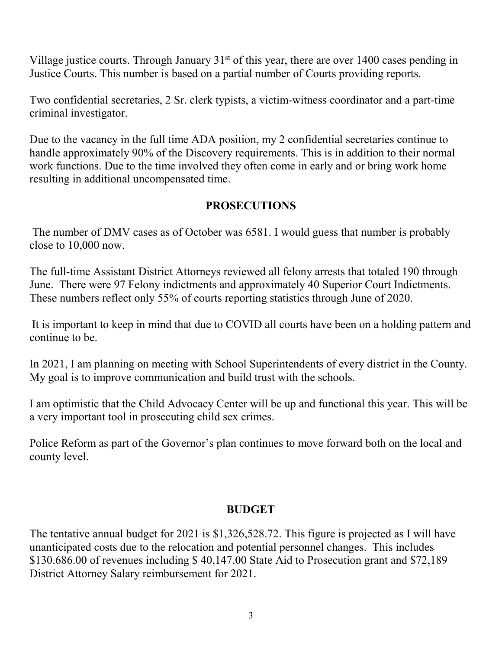Village justice courts. Through January  $31<sup>st</sup>$  of this year, there are over 1400 cases pending in Justice Courts. This number is based on a partial number of Courts providing reports.

Two confidential secretaries, 2 Sr. clerk typists, a victim-witness coordinator and a part-time criminal investigator.

Due to the vacancy in the full time ADA position, my 2 confidential secretaries continue to handle approximately 90% of the Discovery requirements. This is in addition to their normal work functions. Due to the time involved they often come in early and or bring work home resulting in additional uncompensated time.

# **PROSECUTIONS**

The number of DMV cases as of October was 6581. I would guess that number is probably close to 10,000 now.

The full-time Assistant District Attorneys reviewed all felony arrests that totaled 190 through June. There were 97 Felony indictments and approximately 40 Superior Court Indictments. These numbers reflect only 55% of courts reporting statistics through June of 2020.

It is important to keep in mind that due to COVID all courts have been on a holding pattern and continue to be.

In 2021, I am planning on meeting with School Superintendents of every district in the County. My goal is to improve communication and build trust with the schools.

I am optimistic that the Child Advocacy Center will be up and functional this year. This will be a very important tool in prosecuting child sex crimes.

Police Reform as part of the Governor's plan continues to move forward both on the local and county level.

# **BUDGET**

The tentative annual budget for 2021 is \$1,326,528.72. This figure is projected as I will have unanticipated costs due to the relocation and potential personnel changes. This includes \$130.686.00 of revenues including \$ 40,147.00 State Aid to Prosecution grant and \$72,189 District Attorney Salary reimbursement for 2021.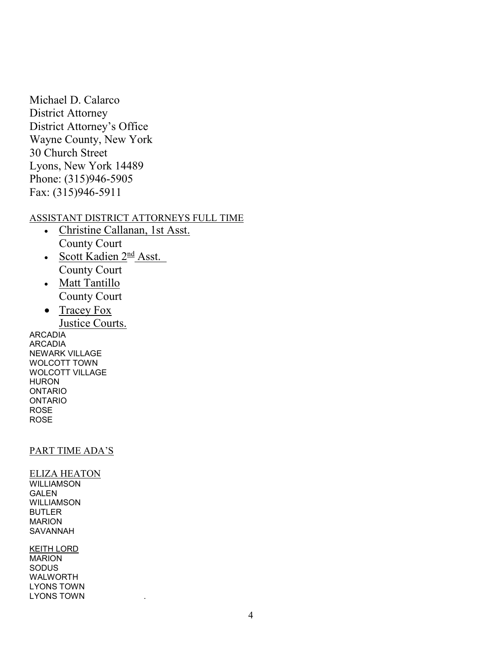Michael D. Calarco District Attorney District Attorney's Office Wayne County, New York 30 Church Street Lyons, New York 14489 Phone: (315)946-5905 Fax: (315)946-5911

#### ASSISTANT DISTRICT ATTORNEYS FULL TIME

- Christine Callanan, 1st Asst. County Court
- Scott Kadien  $2^{\frac{nd}{}}$  Asst. County Court
- Matt Tantillo County Court
- Tracey Fox

Justice Courts.

ARCADIA ARCADIA NEWARK VILLAGE WOLCOTT TOWN WOLCOTT VILLAGE HURON ONTARIO ONTARIO ROSE ROSE

#### PART TIME ADA'S

ELIZA HEATON WILLIAMSON GALEN WILLIAMSON BUTLER MARION SAVANNAH

KEITH LORD MARION SODUS WALWORTH LYONS TOWN LYONS TOWN .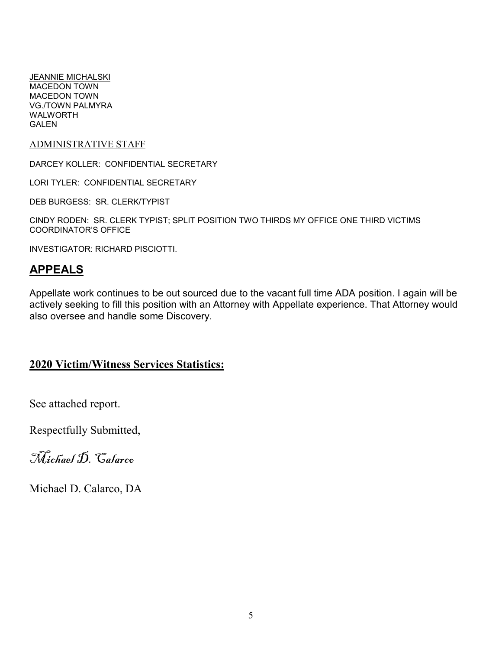JEANNIE MICHALSKI MACEDON TOWN MACEDON TOWN VG./TOWN PALMYRA WALWORTH GALEN

ADMINISTRATIVE STAFF

DARCEY KOLLER: CONFIDENTIAL SECRETARY

LORI TYLER: CONFIDENTIAL SECRETARY

DEB BURGESS: SR. CLERK/TYPIST

CINDY RODEN: SR. CLERK TYPIST; SPLIT POSITION TWO THIRDS MY OFFICE ONE THIRD VICTIMS COORDINATOR'S OFFICE

INVESTIGATOR: RICHARD PISCIOTTI.

# **APPEALS**

Appellate work continues to be out sourced due to the vacant full time ADA position. I again will be actively seeking to fill this position with an Attorney with Appellate experience. That Attorney would also oversee and handle some Discovery.

#### **2020 Victim/Witness Services Statistics:**

See attached report.

Respectfully Submitted,

Wichael D. Calarco

Michael D. Calarco, DA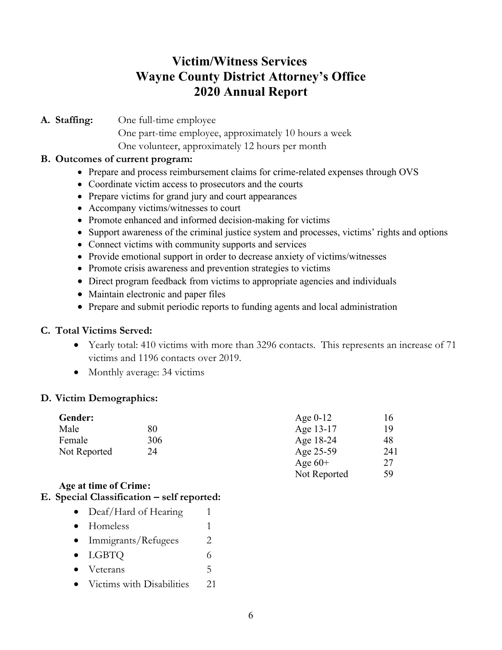# **Victim/Witness Services Wayne County District Attorney's Office 2020 Annual Report**

#### **A. Staffing:** One full-time employee

One part-time employee, approximately 10 hours a week One volunteer, approximately 12 hours per month

#### **B. Outcomes of current program:**

- Prepare and process reimbursement claims for crime-related expenses through OVS
- Coordinate victim access to prosecutors and the courts
- Prepare victims for grand jury and court appearances
- Accompany victims/witnesses to court
- Promote enhanced and informed decision-making for victims
- Support awareness of the criminal justice system and processes, victims' rights and options
- Connect victims with community supports and services
- Provide emotional support in order to decrease anxiety of victims/witnesses
- Promote crisis awareness and prevention strategies to victims
- Direct program feedback from victims to appropriate agencies and individuals
- Maintain electronic and paper files
- Prepare and submit periodic reports to funding agents and local administration

#### **C. Total Victims Served:**

- Yearly total: 410 victims with more than 3296 contacts. This represents an increase of 71 victims and 1196 contacts over 2019.
- Monthly average: 34 victims

#### **D. Victim Demographics:**

| Gender:      |     | Age $0-12$   | 16  |
|--------------|-----|--------------|-----|
| Male         | 80  | Age 13-17    | 19  |
| Female       | 306 | Age $18-24$  | 48  |
| Not Reported | 24  | Age 25-59    | 241 |
|              |     | Age $60+$    | 27  |
|              |     | Not Reported | 59  |

#### **Age at time of Crime:**

#### **E. Special Classification – self reported:**

| Deaf/Hard of Hearing      |    |
|---------------------------|----|
| Homeless                  | 1  |
| Immigrants/Refugees       | 2  |
| $\bullet$ LGBTQ           | 6  |
| Veterans                  | 5  |
| Victims with Disabilities | 21 |
|                           |    |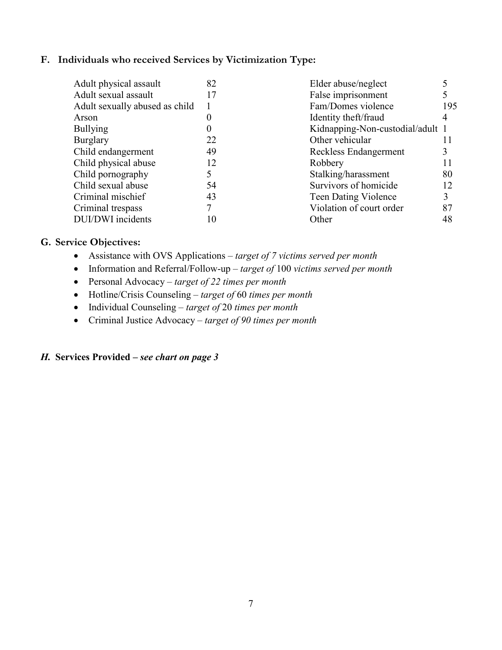#### **F. Individuals who received Services by Victimization Type:**

| Adult physical assault         | 82 | Elder abuse/neglect              |     |
|--------------------------------|----|----------------------------------|-----|
| Adult sexual assault           | 17 | False imprisonment               |     |
| Adult sexually abused as child |    | Fam/Domes violence               | 195 |
| Arson                          |    | Identity theft/fraud             |     |
| <b>Bullying</b>                | 0  | Kidnapping-Non-custodial/adult 1 |     |
| Burglary                       | 22 | Other vehicular                  | 11  |
| Child endangerment             | 49 | Reckless Endangerment            | 3   |
| Child physical abuse           | 12 | Robbery                          | 11  |
| Child pornography              |    | Stalking/harassment              | 80  |
| Child sexual abuse             | 54 | Survivors of homicide            | 12  |
| Criminal mischief              | 43 | <b>Teen Dating Violence</b>      | 3   |
| Criminal trespass              |    | Violation of court order         | 87  |
| DUI/DWI incidents              | 10 | Other                            | 48  |

#### **G. Service Objectives:**

- Assistance with OVS Applications *target of 7 victims served per month*
- Information and Referral/Follow-up *target of* 100 *victims served per month*
- Personal Advocacy *target of 22 times per month*
- Hotline/Crisis Counseling *target of* 60 *times per month*
- Individual Counseling *target of* 20 *times per month*
- Criminal Justice Advocacy *target of 90 times per month*

#### *H.* **Services Provided –** *see chart on page 3*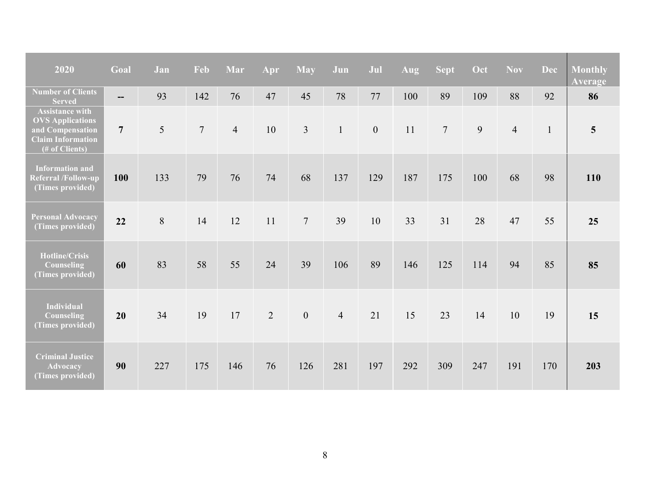| 2020                                                                                                                | Goal                     | Jan | Feb            | Mar            | Apr            | <b>May</b>     | Jun            | Jul              | Aug | <b>Sept</b>    | Oct | <b>Nov</b>     | <b>Dec</b> | <b>Monthly</b><br><b>Average</b> |
|---------------------------------------------------------------------------------------------------------------------|--------------------------|-----|----------------|----------------|----------------|----------------|----------------|------------------|-----|----------------|-----|----------------|------------|----------------------------------|
| <b>Number of Clients</b><br><b>Served</b>                                                                           | $\overline{\phantom{a}}$ | 93  | 142            | 76             | 47             | 45             | 78             | 77               | 100 | 89             | 109 | 88             | 92         | 86                               |
| <b>Assistance with</b><br><b>OVS</b> Applications<br>and Compensation<br><b>Claim Information</b><br>(# of Clients) | $\overline{7}$           | 5   | $\overline{7}$ | $\overline{4}$ | 10             | $\overline{3}$ | $\mathbf{1}$   | $\boldsymbol{0}$ | 11  | $\overline{7}$ | 9   | $\overline{4}$ | 1          | $5\overline{)}$                  |
| <b>Information and</b><br>Referral /Follow-up<br>(Times provided)                                                   | 100                      | 133 | 79             | 76             | 74             | 68             | 137            | 129              | 187 | 175            | 100 | 68             | 98         | 110                              |
| <b>Personal Advocacy</b><br>(Times provided)                                                                        | 22                       | 8   | 14             | 12             | 11             | $\overline{7}$ | 39             | 10               | 33  | 31             | 28  | 47             | 55         | 25                               |
| Hotline/Crisis<br>Counseling<br>(Times provided)                                                                    | 60                       | 83  | 58             | 55             | 24             | 39             | 106            | 89               | 146 | 125            | 114 | 94             | 85         | 85                               |
| <b>Individual</b><br>Counseling<br>(Times provided)                                                                 | 20                       | 34  | 19             | 17             | $\overline{2}$ | $\overline{0}$ | $\overline{4}$ | 21               | 15  | 23             | 14  | 10             | 19         | 15                               |
| <b>Criminal Justice</b><br><b>Advocacy</b><br>(Times provided)                                                      | 90                       | 227 | 175            | 146            | 76             | 126            | 281            | 197              | 292 | 309            | 247 | 191            | 170        | 203                              |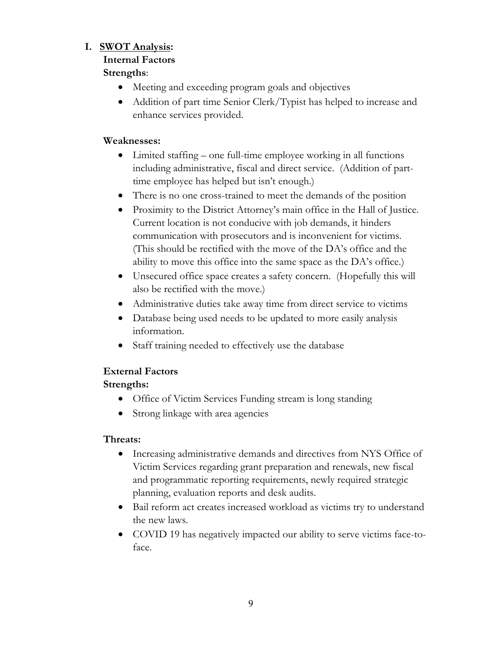#### **I. SWOT Analysis:**

# **Internal Factors**

#### **Strengths**:

- Meeting and exceeding program goals and objectives
- Addition of part time Senior Clerk/Typist has helped to increase and enhance services provided.

#### **Weaknesses:**

- Limited staffing one full-time employee working in all functions including administrative, fiscal and direct service. (Addition of parttime employee has helped but isn't enough.)
- There is no one cross-trained to meet the demands of the position
- Proximity to the District Attorney's main office in the Hall of Justice. Current location is not conducive with job demands, it hinders communication with prosecutors and is inconvenient for victims. (This should be rectified with the move of the DA's office and the ability to move this office into the same space as the DA's office.)
- Unsecured office space creates a safety concern. (Hopefully this will also be rectified with the move.)
- Administrative duties take away time from direct service to victims
- Database being used needs to be updated to more easily analysis information.
- Staff training needed to effectively use the database

# **External Factors**

# **Strengths:**

- Office of Victim Services Funding stream is long standing
- Strong linkage with area agencies

#### **Threats:**

- Increasing administrative demands and directives from NYS Office of Victim Services regarding grant preparation and renewals, new fiscal and programmatic reporting requirements, newly required strategic planning, evaluation reports and desk audits.
- Bail reform act creates increased workload as victims try to understand the new laws.
- COVID 19 has negatively impacted our ability to serve victims face-toface.